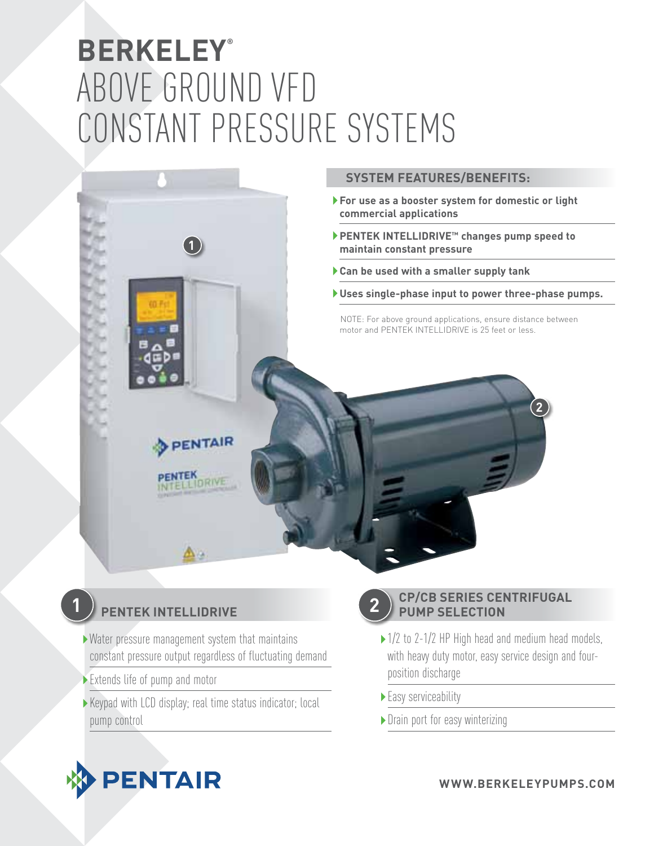# **BERKELEY®** ABOVE GROUND Vfd CONSTANT PRESSURE SYSTEMS



## **PENTEK INTELLIDRIVE**

**1**

- Water pressure management system that maintains constant pressure output regardless of fluctuating demand
- Extends life of pump and motor
- Keypad with LCD display; real time status indicator; local pump control

**2**

### **CP/CB SERIES CENTRIFUGAL PUMP SELECTION**

- ▶ 1/2 to 2-1/2 HP High head and medium head models, with heavy duty motor, easy service design and fourposition discharge
- ▶ Easy serviceability
- ▶ Drain port for easy winterizing



**www.BERKELEYpumps .com**